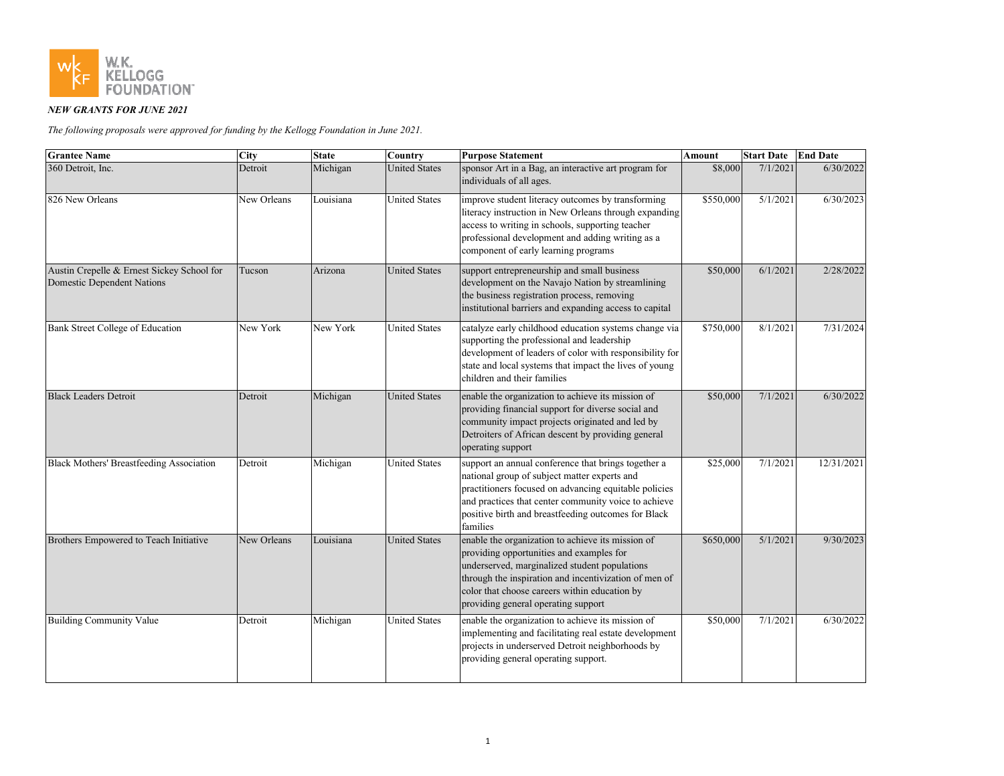

## *NEW GRANTS FOR JUNE 2021*

*The following proposals were approved for funding by the Kellogg Foundation in June 2021.*

| <b>Grantee Name</b>                                                             | <b>City</b> | <b>State</b> | Country              | <b>Purpose Statement</b>                                                                                                                                                                                                                                                                        | Amount    | <b>Start Date</b>     | <b>End Date</b> |
|---------------------------------------------------------------------------------|-------------|--------------|----------------------|-------------------------------------------------------------------------------------------------------------------------------------------------------------------------------------------------------------------------------------------------------------------------------------------------|-----------|-----------------------|-----------------|
| 360 Detroit, Inc.                                                               | Detroit     | Michigan     | <b>United States</b> | sponsor Art in a Bag, an interactive art program for<br>individuals of all ages.                                                                                                                                                                                                                | \$8,000   | 7/1/2021              | 6/30/2022       |
| 826 New Orleans                                                                 | New Orleans | Louisiana    | <b>United States</b> | improve student literacy outcomes by transforming<br>literacy instruction in New Orleans through expanding<br>access to writing in schools, supporting teacher<br>professional development and adding writing as a<br>component of early learning programs                                      | \$550,000 | $\overline{5/1/2021}$ | 6/30/2023       |
| Austin Crepelle & Ernest Sickey School for<br><b>Domestic Dependent Nations</b> | Tucson      | Arizona      | <b>United States</b> | support entrepreneurship and small business<br>development on the Navajo Nation by streamlining<br>the business registration process, removing<br>institutional barriers and expanding access to capital                                                                                        | \$50,000  | 6/1/2021              | 2/28/2022       |
| <b>Bank Street College of Education</b>                                         | New York    | New York     | <b>United States</b> | catalyze early childhood education systems change via<br>supporting the professional and leadership<br>development of leaders of color with responsibility for<br>state and local systems that impact the lives of young<br>children and their families                                         | \$750,000 | 8/1/2021              | 7/31/2024       |
| <b>Black Leaders Detroit</b>                                                    | Detroit     | Michigan     | <b>United States</b> | enable the organization to achieve its mission of<br>providing financial support for diverse social and<br>community impact projects originated and led by<br>Detroiters of African descent by providing general<br>operating support                                                           | \$50,000  | 7/1/2021              | 6/30/2022       |
| <b>Black Mothers' Breastfeeding Association</b>                                 | Detroit     | Michigan     | <b>United States</b> | support an annual conference that brings together a<br>national group of subject matter experts and<br>practitioners focused on advancing equitable policies<br>and practices that center community voice to achieve<br>positive birth and breastfeeding outcomes for Black<br>families         | \$25,000  | 7/1/2021              | 12/31/2021      |
| Brothers Empowered to Teach Initiative                                          | New Orleans | Louisiana    | <b>United States</b> | enable the organization to achieve its mission of<br>providing opportunities and examples for<br>underserved, marginalized student populations<br>through the inspiration and incentivization of men of<br>color that choose careers within education by<br>providing general operating support | \$650,000 | 5/1/2021              | 9/30/2023       |
| <b>Building Community Value</b>                                                 | Detroit     | Michigan     | <b>United States</b> | enable the organization to achieve its mission of<br>implementing and facilitating real estate development<br>projects in underserved Detroit neighborhoods by<br>providing general operating support.                                                                                          | \$50,000  | 7/1/2021              | 6/30/2022       |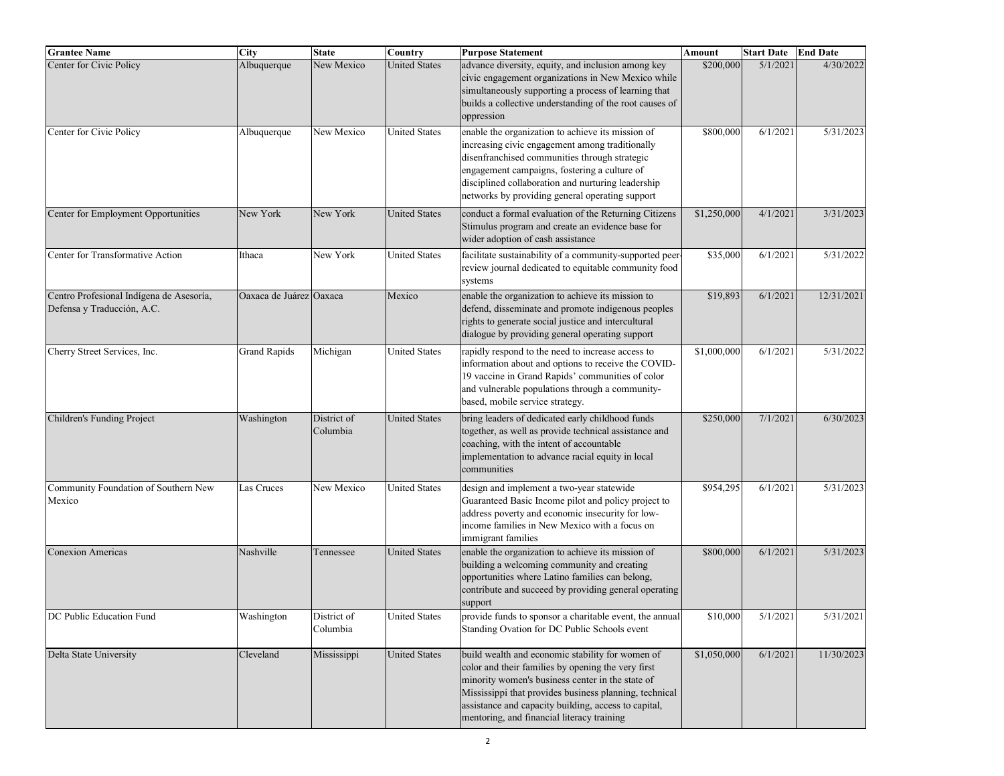| <b>Grantee Name</b>                                                    | City                    | <b>State</b>            | Country              | <b>Purpose Statement</b>                                                                                                                                                                                                                                                                                                   | Amount      | <b>Start Date</b> | <b>End Date</b> |
|------------------------------------------------------------------------|-------------------------|-------------------------|----------------------|----------------------------------------------------------------------------------------------------------------------------------------------------------------------------------------------------------------------------------------------------------------------------------------------------------------------------|-------------|-------------------|-----------------|
| Center for Civic Policy                                                | Albuquerque             | New Mexico              | <b>United States</b> | advance diversity, equity, and inclusion among key<br>civic engagement organizations in New Mexico while<br>simultaneously supporting a process of learning that<br>builds a collective understanding of the root causes of<br>oppression                                                                                  | \$200,000   | 5/1/2021          | 4/30/2022       |
| Center for Civic Policy                                                | Albuquerque             | New Mexico              | <b>United States</b> | enable the organization to achieve its mission of<br>increasing civic engagement among traditionally<br>disenfranchised communities through strategic<br>engagement campaigns, fostering a culture of<br>disciplined collaboration and nurturing leadership<br>networks by providing general operating support             | \$800,000   | 6/1/202           | 5/31/2023       |
| Center for Employment Opportunities                                    | New York                | New York                | <b>United States</b> | conduct a formal evaluation of the Returning Citizens<br>Stimulus program and create an evidence base for<br>wider adoption of cash assistance                                                                                                                                                                             | \$1,250,000 | 4/1/2021          | 3/31/2023       |
| Center for Transformative Action                                       | Ithaca                  | New York                | <b>United States</b> | facilitate sustainability of a community-supported peer-<br>review journal dedicated to equitable community food<br>systems                                                                                                                                                                                                | \$35,000    | 6/1/2021          | 5/31/2022       |
| Centro Profesional Indígena de Asesoría,<br>Defensa y Traducción, A.C. | Oaxaca de Juárez Oaxaca |                         | Mexico               | enable the organization to achieve its mission to<br>defend, disseminate and promote indigenous peoples<br>rights to generate social justice and intercultural<br>dialogue by providing general operating support                                                                                                          | \$19,893    | 6/1/2021          | 12/31/2021      |
| Cherry Street Services, Inc.                                           | <b>Grand Rapids</b>     | Michigan                | <b>United States</b> | rapidly respond to the need to increase access to<br>information about and options to receive the COVID-<br>19 vaccine in Grand Rapids' communities of color<br>and vulnerable populations through a community-<br>based, mobile service strategy.                                                                         | \$1,000,000 | 6/1/202           | 5/31/2022       |
| Children's Funding Project                                             | Washington              | District of<br>Columbia | <b>United States</b> | bring leaders of dedicated early childhood funds<br>together, as well as provide technical assistance and<br>coaching, with the intent of accountable<br>implementation to advance racial equity in local<br>communities                                                                                                   | \$250,000   | 7/1/2021          | 6/30/2023       |
| Community Foundation of Southern New<br>Mexico                         | Las Cruces              | New Mexico              | <b>United States</b> | design and implement a two-year statewide<br>Guaranteed Basic Income pilot and policy project to<br>address poverty and economic insecurity for low-<br>income families in New Mexico with a focus on<br>immigrant families                                                                                                | \$954,295   | 6/1/202           | 5/31/2023       |
| <b>Conexion Americas</b>                                               | Nashville               | Tennessee               | <b>United States</b> | enable the organization to achieve its mission of<br>building a welcoming community and creating<br>opportunities where Latino families can belong,<br>contribute and succeed by providing general operating<br>support                                                                                                    | \$800,000   | 6/1/2021          | 5/31/2023       |
| DC Public Education Fund                                               | Washington              | District of<br>Columbia | <b>United States</b> | provide funds to sponsor a charitable event, the annual<br>Standing Ovation for DC Public Schools event                                                                                                                                                                                                                    | \$10,000    | 5/1/2021          | 5/31/2021       |
| Delta State University                                                 | Cleveland               | Mississippi             | <b>United States</b> | build wealth and economic stability for women of<br>color and their families by opening the very first<br>minority women's business center in the state of<br>Mississippi that provides business planning, technical<br>assistance and capacity building, access to capital,<br>mentoring, and financial literacy training | \$1,050,000 | 6/1/2021          | 11/30/2023      |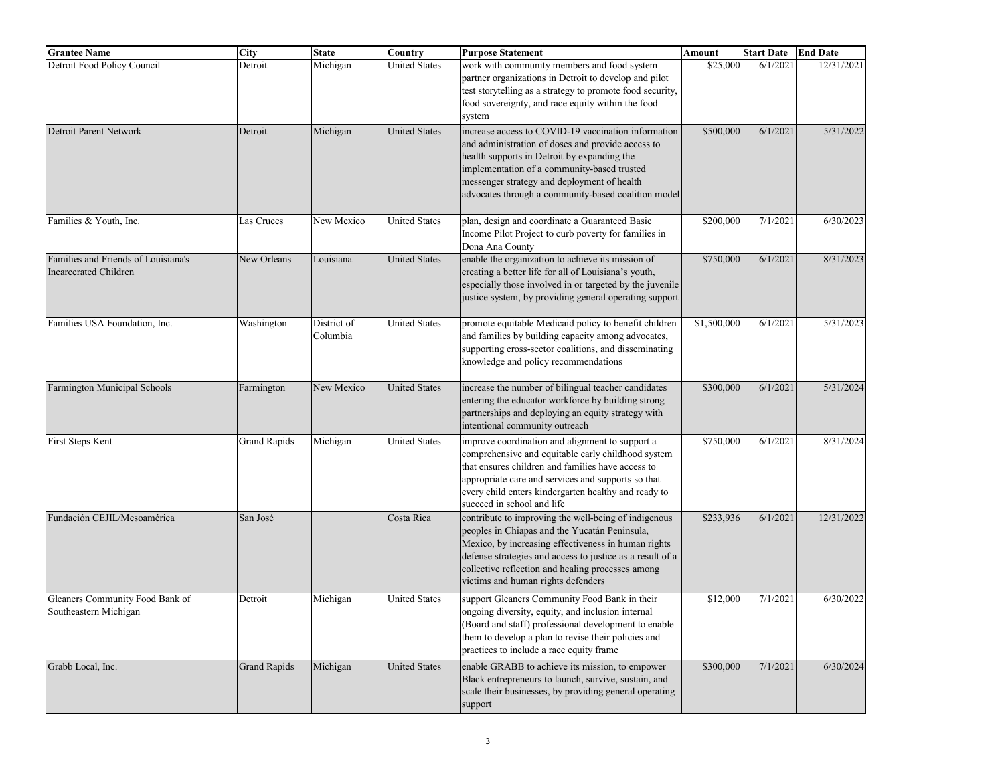| <b>Grantee Name</b>                                                 | City                | <b>State</b>            | $\overline{\mathrm{C}}$ ountry | <b>Purpose Statement</b>                                                                                                                                                                                                                                                                                             | Amount      | <b>Start Date</b> | <b>End Date</b> |
|---------------------------------------------------------------------|---------------------|-------------------------|--------------------------------|----------------------------------------------------------------------------------------------------------------------------------------------------------------------------------------------------------------------------------------------------------------------------------------------------------------------|-------------|-------------------|-----------------|
| Detroit Food Policy Council                                         | Detroit             | Michigan                | <b>United States</b>           | work with community members and food system<br>partner organizations in Detroit to develop and pilot<br>test storytelling as a strategy to promote food security,<br>food sovereignty, and race equity within the food<br>system                                                                                     | \$25,000    | 6/1/2021          | 12/31/2021      |
| Detroit Parent Network                                              | Detroit             | Michigan                | <b>United States</b>           | increase access to COVID-19 vaccination information<br>and administration of doses and provide access to<br>health supports in Detroit by expanding the<br>implementation of a community-based trusted<br>messenger strategy and deployment of health<br>advocates through a community-based coalition model         | \$500,000   | 6/1/2021          | 5/31/2022       |
| Families & Youth, Inc.                                              | Las Cruces          | New Mexico              | <b>United States</b>           | plan, design and coordinate a Guaranteed Basic<br>Income Pilot Project to curb poverty for families in<br>Dona Ana County                                                                                                                                                                                            | \$200,000   | 7/1/2021          | 6/30/2023       |
| Families and Friends of Louisiana's<br><b>Incarcerated Children</b> | New Orleans         | Louisiana               | <b>United States</b>           | enable the organization to achieve its mission of<br>creating a better life for all of Louisiana's youth,<br>especially those involved in or targeted by the juvenile<br>justice system, by providing general operating support                                                                                      | \$750,000   | 6/1/2021          | 8/31/2023       |
| Families USA Foundation, Inc.                                       | Washington          | District of<br>Columbia | <b>United States</b>           | promote equitable Medicaid policy to benefit children<br>and families by building capacity among advocates,<br>supporting cross-sector coalitions, and disseminating<br>knowledge and policy recommendations                                                                                                         | \$1,500,000 | 6/1/2021          | 5/31/2023       |
| Farmington Municipal Schools                                        | Farmington          | New Mexico              | <b>United States</b>           | increase the number of bilingual teacher candidates<br>entering the educator workforce by building strong<br>partnerships and deploying an equity strategy with<br>intentional community outreach                                                                                                                    | \$300,000   | 6/1/2021          | 5/31/2024       |
| First Steps Kent                                                    | <b>Grand Rapids</b> | Michigan                | <b>United States</b>           | improve coordination and alignment to support a<br>comprehensive and equitable early childhood system<br>that ensures children and families have access to<br>appropriate care and services and supports so that<br>every child enters kindergarten healthy and ready to<br>succeed in school and life               | \$750,000   | 6/1/2021          | 8/31/2024       |
| Fundación CEJIL/Mesoamérica                                         | San José            |                         | Costa Rica                     | contribute to improving the well-being of indigenous<br>peoples in Chiapas and the Yucatán Peninsula,<br>Mexico, by increasing effectiveness in human rights<br>defense strategies and access to justice as a result of a<br>collective reflection and healing processes among<br>victims and human rights defenders | \$233,936   | 6/1/2021          | 12/31/2022      |
| Gleaners Community Food Bank of<br>Southeastern Michigan            | Detroit             | Michigan                | <b>United States</b>           | support Gleaners Community Food Bank in their<br>ongoing diversity, equity, and inclusion internal<br>(Board and staff) professional development to enable<br>them to develop a plan to revise their policies and<br>practices to include a race equity frame                                                        | \$12,000    | 7/1/2021          | 6/30/2022       |
| Grabb Local, Inc.                                                   | <b>Grand Rapids</b> | Michigan                | <b>United States</b>           | enable GRABB to achieve its mission, to empower<br>Black entrepreneurs to launch, survive, sustain, and<br>scale their businesses, by providing general operating<br>support                                                                                                                                         | \$300,000   | 7/1/2021          | 6/30/2024       |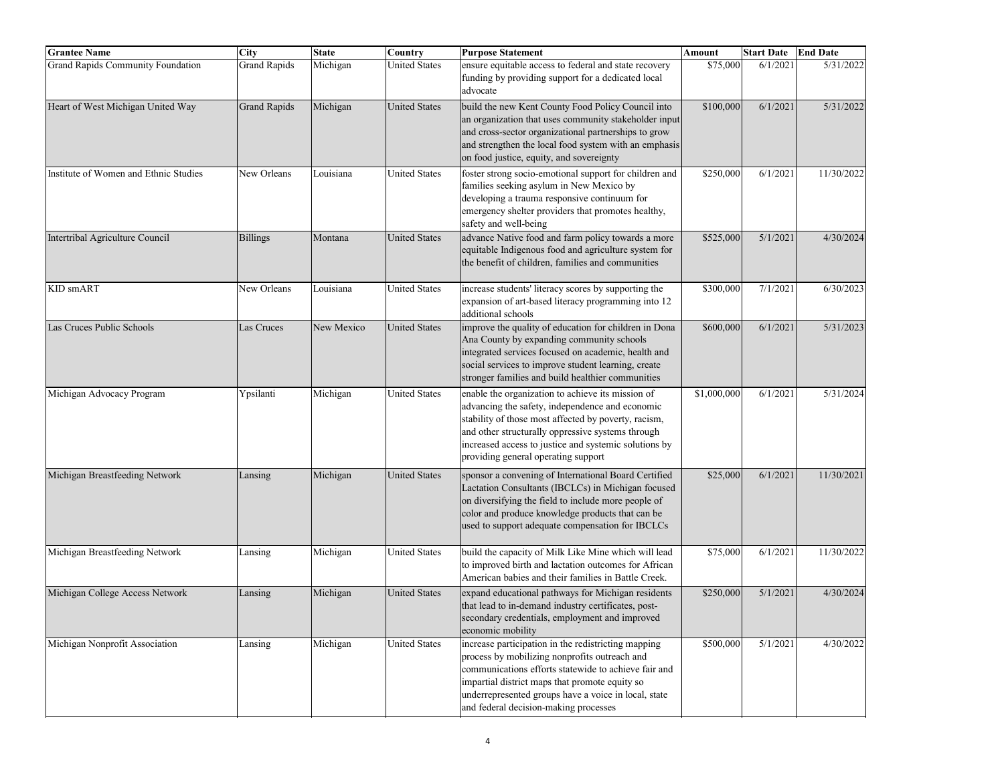| <b>Grantee Name</b>                      | <b>City</b>         | <b>State</b> | Country              | <b>Purpose Statement</b>                                                                                                                                                                                                                                                                                          | <b>Amount</b> | <b>Start Date</b> | <b>End Date</b> |
|------------------------------------------|---------------------|--------------|----------------------|-------------------------------------------------------------------------------------------------------------------------------------------------------------------------------------------------------------------------------------------------------------------------------------------------------------------|---------------|-------------------|-----------------|
| <b>Grand Rapids Community Foundation</b> | <b>Grand Rapids</b> | Michigan     | <b>United States</b> | ensure equitable access to federal and state recovery<br>funding by providing support for a dedicated local<br>advocate                                                                                                                                                                                           | \$75,000      | 6/1/2021          | 5/31/2022       |
| Heart of West Michigan United Way        | <b>Grand Rapids</b> | Michigan     | <b>United States</b> | build the new Kent County Food Policy Council into<br>an organization that uses community stakeholder input<br>and cross-sector organizational partnerships to grow<br>and strengthen the local food system with an emphasis<br>on food justice, equity, and sovereignty                                          | \$100,000     | 6/1/2021          | 5/31/2022       |
| Institute of Women and Ethnic Studies    | New Orleans         | Louisiana    | <b>United States</b> | foster strong socio-emotional support for children and<br>families seeking asylum in New Mexico by<br>developing a trauma responsive continuum for<br>emergency shelter providers that promotes healthy,<br>safety and well-being                                                                                 | \$250,000     | 6/1/2021          | 11/30/2022      |
| Intertribal Agriculture Council          | <b>Billings</b>     | Montana      | <b>United States</b> | advance Native food and farm policy towards a more<br>equitable Indigenous food and agriculture system for<br>the benefit of children, families and communities                                                                                                                                                   | \$525,000     | 5/1/2021          | 4/30/2024       |
| KID smART                                | New Orleans         | Louisiana    | <b>United States</b> | increase students' literacy scores by supporting the<br>expansion of art-based literacy programming into 12<br>additional schools                                                                                                                                                                                 | \$300,000     | 7/1/2021          | 6/30/2023       |
| Las Cruces Public Schools                | Las Cruces          | New Mexico   | <b>United States</b> | improve the quality of education for children in Dona<br>Ana County by expanding community schools<br>integrated services focused on academic, health and<br>social services to improve student learning, create<br>stronger families and build healthier communities                                             | \$600,000     | 6/1/2021          | 5/31/2023       |
| Michigan Advocacy Program                | Ypsilanti           | Michigan     | <b>United States</b> | enable the organization to achieve its mission of<br>advancing the safety, independence and economic<br>stability of those most affected by poverty, racism,<br>and other structurally oppressive systems through<br>increased access to justice and systemic solutions by<br>providing general operating support | \$1,000,000   | 6/1/2021          | 5/31/2024       |
| Michigan Breastfeeding Network           | Lansing             | Michigan     | <b>United States</b> | sponsor a convening of International Board Certified<br>Lactation Consultants (IBCLCs) in Michigan focused<br>on diversifying the field to include more people of<br>color and produce knowledge products that can be<br>used to support adequate compensation for IBCLCs                                         | \$25,000      | 6/1/2021          | 11/30/2021      |
| Michigan Breastfeeding Network           | Lansing             | Michigan     | <b>United States</b> | build the capacity of Milk Like Mine which will lead<br>to improved birth and lactation outcomes for African<br>American babies and their families in Battle Creek.                                                                                                                                               | \$75,000      | 6/1/2021          | 11/30/2022      |
| Michigan College Access Network          | Lansing             | Michigan     | <b>United States</b> | expand educational pathways for Michigan residents<br>that lead to in-demand industry certificates, post-<br>secondary credentials, employment and improved<br>economic mobility                                                                                                                                  | \$250,000     | 5/1/2021          | 4/30/2024       |
| Michigan Nonprofit Association           | Lansing             | Michigan     | <b>United States</b> | increase participation in the redistricting mapping<br>process by mobilizing nonprofits outreach and<br>communications efforts statewide to achieve fair and<br>impartial district maps that promote equity so<br>underrepresented groups have a voice in local, state<br>and federal decision-making processes   | \$500,000     | 5/1/2021          | 4/30/2022       |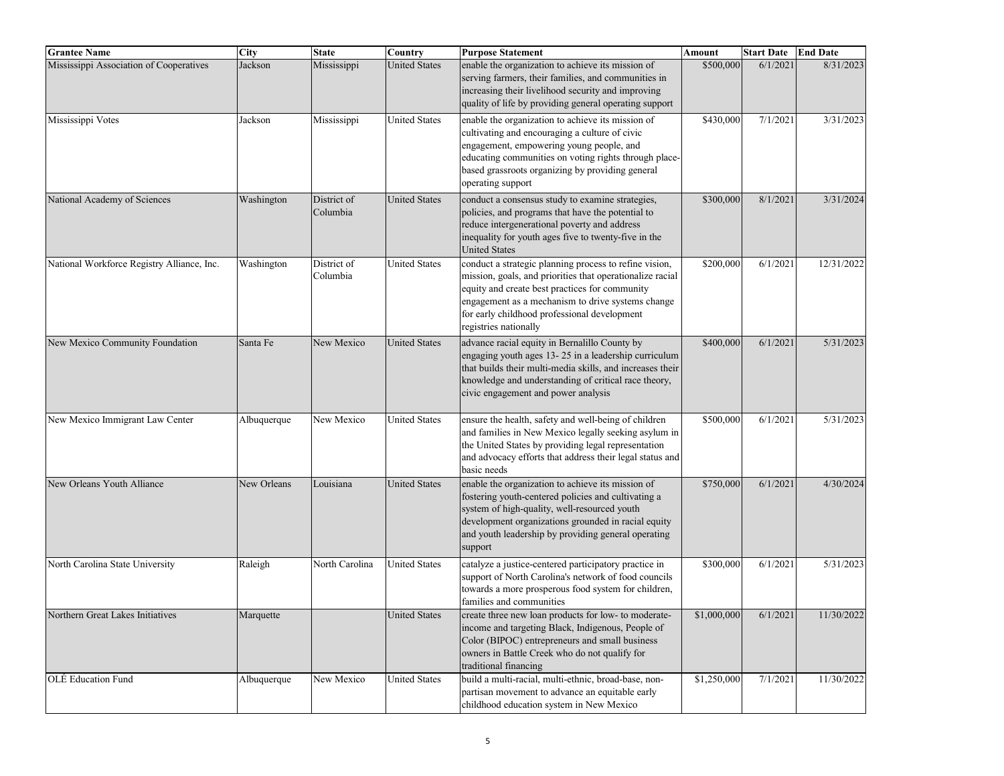| <b>Grantee Name</b>                        | <b>City</b> | <b>State</b>            | $\overline{\text{Country}}$ | <b>Purpose Statement</b>                                                                                                                                                                                                                                                                            | Amount      | <b>Start Date</b> | <b>End Date</b> |
|--------------------------------------------|-------------|-------------------------|-----------------------------|-----------------------------------------------------------------------------------------------------------------------------------------------------------------------------------------------------------------------------------------------------------------------------------------------------|-------------|-------------------|-----------------|
| Mississippi Association of Cooperatives    | Jackson     | Mississippi             | <b>United States</b>        | enable the organization to achieve its mission of<br>serving farmers, their families, and communities in<br>increasing their livelihood security and improving<br>quality of life by providing general operating support                                                                            | \$500,000   | 6/1/2021          | 8/31/2023       |
| Mississippi Votes                          | Jackson     | Mississippi             | <b>United States</b>        | enable the organization to achieve its mission of<br>cultivating and encouraging a culture of civic<br>engagement, empowering young people, and<br>educating communities on voting rights through place-<br>based grassroots organizing by providing general<br>operating support                   | \$430,000   | 7/1/2021          | 3/31/2023       |
| National Academy of Sciences               | Washington  | District of<br>Columbia | <b>United States</b>        | conduct a consensus study to examine strategies,<br>policies, and programs that have the potential to<br>reduce intergenerational poverty and address<br>inequality for youth ages five to twenty-five in the<br><b>United States</b>                                                               | \$300,000   | 8/1/2021          | 3/31/2024       |
| National Workforce Registry Alliance, Inc. | Washington  | District of<br>Columbia | <b>United States</b>        | conduct a strategic planning process to refine vision,<br>mission, goals, and priorities that operationalize racial<br>equity and create best practices for community<br>engagement as a mechanism to drive systems change<br>for early childhood professional development<br>registries nationally | \$200,000   | 6/1/2021          | 12/31/2022      |
| New Mexico Community Foundation            | Santa Fe    | New Mexico              | <b>United States</b>        | advance racial equity in Bernalillo County by<br>engaging youth ages 13-25 in a leadership curriculum<br>that builds their multi-media skills, and increases their<br>knowledge and understanding of critical race theory,<br>civic engagement and power analysis                                   | \$400,000   | 6/1/2021          | 5/31/2023       |
| New Mexico Immigrant Law Center            | Albuquerque | New Mexico              | <b>United States</b>        | ensure the health, safety and well-being of children<br>and families in New Mexico legally seeking asylum in<br>the United States by providing legal representation<br>and advocacy efforts that address their legal status and<br>basic needs                                                      | \$500,000   | 6/1/2021          | 5/31/2023       |
| New Orleans Youth Alliance                 | New Orleans | Louisiana               | <b>United States</b>        | enable the organization to achieve its mission of<br>fostering youth-centered policies and cultivating a<br>system of high-quality, well-resourced youth<br>development organizations grounded in racial equity<br>and youth leadership by providing general operating<br>support                   | \$750,000   | 6/1/2021          | 4/30/2024       |
| North Carolina State University            | Raleigh     | North Carolina          | <b>United States</b>        | catalyze a justice-centered participatory practice in<br>support of North Carolina's network of food councils<br>towards a more prosperous food system for children,<br>families and communities                                                                                                    | \$300,000   | 6/1/2021          | 5/31/2023       |
| Northern Great Lakes Initiatives           | Marquette   |                         | United States               | create three new loan products for low- to moderate-<br>income and targeting Black, Indigenous, People of<br>Color (BIPOC) entrepreneurs and small business<br>owners in Battle Creek who do not qualify for<br>traditional financing                                                               | \$1,000,000 | 6/1/2021          | 11/30/2022      |
| OLÉ Education Fund                         | Albuquerque | New Mexico              | <b>United States</b>        | build a multi-racial, multi-ethnic, broad-base, non-<br>partisan movement to advance an equitable early<br>childhood education system in New Mexico                                                                                                                                                 | \$1,250,000 | 7/1/2021          | 11/30/2022      |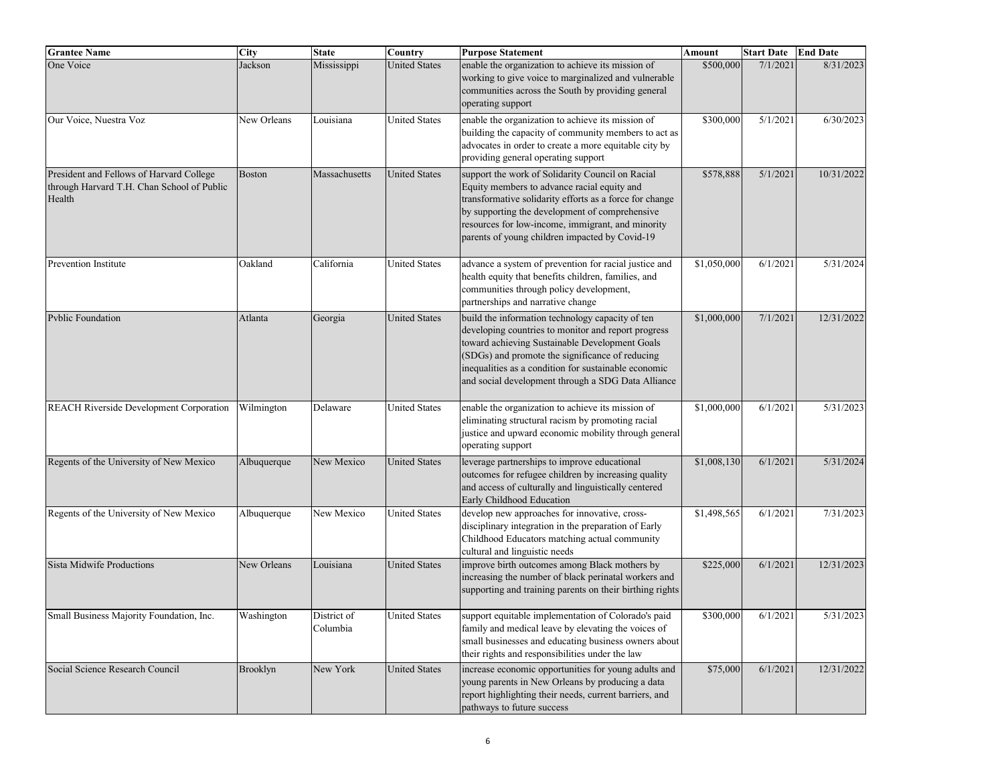| <b>Grantee Name</b>                                                                              | City          | <b>State</b>            | $\overline{\mathrm{Country}}$ | <b>Purpose Statement</b>                                                                                                                                                                                                                                                                                                   | Amount      | <b>Start Date</b> | <b>End Date</b> |
|--------------------------------------------------------------------------------------------------|---------------|-------------------------|-------------------------------|----------------------------------------------------------------------------------------------------------------------------------------------------------------------------------------------------------------------------------------------------------------------------------------------------------------------------|-------------|-------------------|-----------------|
| One Voice                                                                                        | Jackson       | Mississippi             | <b>United States</b>          | enable the organization to achieve its mission of<br>working to give voice to marginalized and vulnerable<br>communities across the South by providing general<br>operating support                                                                                                                                        | \$500,000   | 7/1/2021          | 8/31/2023       |
| Our Voice, Nuestra Voz                                                                           | New Orleans   | Louisiana               | <b>United States</b>          | enable the organization to achieve its mission of<br>building the capacity of community members to act as<br>advocates in order to create a more equitable city by<br>providing general operating support                                                                                                                  | \$300,000   | 5/1/2021          | 6/30/2023       |
| President and Fellows of Harvard College<br>through Harvard T.H. Chan School of Public<br>Health | <b>Boston</b> | Massachusetts           | <b>United States</b>          | support the work of Solidarity Council on Racial<br>Equity members to advance racial equity and<br>transformative solidarity efforts as a force for change<br>by supporting the development of comprehensive<br>resources for low-income, immigrant, and minority<br>parents of young children impacted by Covid-19        | \$578,888   | 5/1/2021          | 10/31/2022      |
| Prevention Institute                                                                             | Oakland       | California              | <b>United States</b>          | advance a system of prevention for racial justice and<br>health equity that benefits children, families, and<br>communities through policy development,<br>partnerships and narrative change                                                                                                                               | \$1,050,000 | 6/1/2021          | 5/31/2024       |
| <b>Pyblic Foundation</b>                                                                         | Atlanta       | Georgia                 | <b>United States</b>          | build the information technology capacity of ten<br>developing countries to monitor and report progress<br>toward achieving Sustainable Development Goals<br>(SDGs) and promote the significance of reducing<br>inequalities as a condition for sustainable economic<br>and social development through a SDG Data Alliance | \$1,000,000 | 7/1/2021          | 12/31/2022      |
| REACH Riverside Development Corporation                                                          | Wilmington    | Delaware                | <b>United States</b>          | enable the organization to achieve its mission of<br>eliminating structural racism by promoting racial<br>justice and upward economic mobility through general<br>operating support                                                                                                                                        | \$1,000,000 | 6/1/2021          | 5/31/2023       |
| Regents of the University of New Mexico                                                          | Albuquerque   | New Mexico              | <b>United States</b>          | leverage partnerships to improve educational<br>outcomes for refugee children by increasing quality<br>and access of culturally and linguistically centered<br>Early Childhood Education                                                                                                                                   | \$1,008,130 | 6/1/2021          | 5/31/2024       |
| Regents of the University of New Mexico                                                          | Albuquerque   | New Mexico              | <b>United States</b>          | develop new approaches for innovative, cross-<br>disciplinary integration in the preparation of Early<br>Childhood Educators matching actual community<br>cultural and linguistic needs                                                                                                                                    | \$1,498,565 | 6/1/2021          | 7/31/2023       |
| Sista Midwife Productions                                                                        | New Orleans   | Louisiana               | <b>United States</b>          | improve birth outcomes among Black mothers by<br>increasing the number of black perinatal workers and<br>supporting and training parents on their birthing rights                                                                                                                                                          | \$225,000   | 6/1/2021          | 12/31/2023      |
| Small Business Majority Foundation, Inc.                                                         | Washington    | District of<br>Columbia | United States                 | support equitable implementation of Colorado's paid<br>family and medical leave by elevating the voices of<br>small businesses and educating business owners about<br>their rights and responsibilities under the law                                                                                                      | \$300,000   | 6/1/2021          | 5/31/2023       |
| Social Science Research Council                                                                  | Brooklyn      | New York                | <b>United States</b>          | increase economic opportunities for young adults and<br>young parents in New Orleans by producing a data<br>report highlighting their needs, current barriers, and<br>pathways to future success                                                                                                                           | \$75,000    | 6/1/2021          | 12/31/2022      |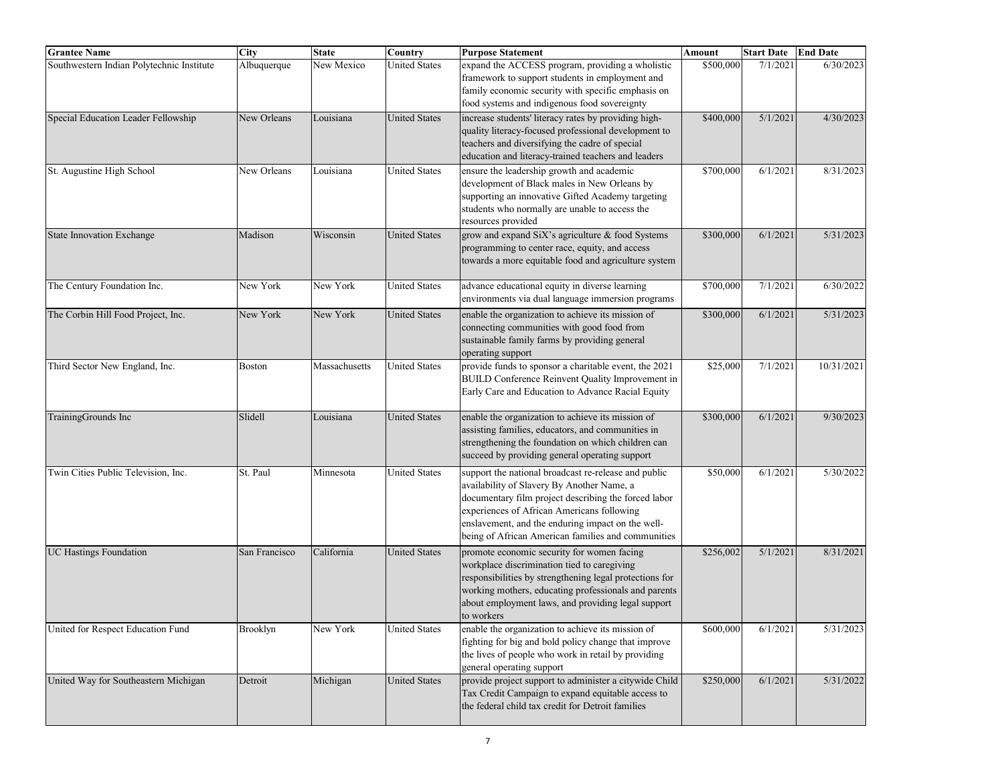| <b>Grantee Name</b>                       | <b>City</b>   | <b>State</b>  | Country              | <b>Purpose Statement</b>                                                                                                                                                                                                                                                                                            | Amount    | <b>Start Date</b> | <b>End Date</b> |
|-------------------------------------------|---------------|---------------|----------------------|---------------------------------------------------------------------------------------------------------------------------------------------------------------------------------------------------------------------------------------------------------------------------------------------------------------------|-----------|-------------------|-----------------|
| Southwestern Indian Polytechnic Institute | Albuquerque   | New Mexico    | <b>United States</b> | expand the ACCESS program, providing a wholistic<br>framework to support students in employment and<br>family economic security with specific emphasis on<br>food systems and indigenous food sovereignty                                                                                                           | \$500,000 | 7/1/2021          | 6/30/2023       |
| Special Education Leader Fellowship       | New Orleans   | Louisiana     | <b>United States</b> | increase students' literacy rates by providing high-<br>quality literacy-focused professional development to<br>teachers and diversifying the cadre of special<br>education and literacy-trained teachers and leaders                                                                                               | \$400,000 | 5/1/2021          | 4/30/2023       |
| St. Augustine High School                 | New Orleans   | Louisiana     | <b>United States</b> | ensure the leadership growth and academic<br>development of Black males in New Orleans by<br>supporting an innovative Gifted Academy targeting<br>students who normally are unable to access the<br>resources provided                                                                                              | \$700,000 | 6/1/2021          | 8/31/2023       |
| <b>State Innovation Exchange</b>          | Madison       | Wisconsin     | <b>United States</b> | grow and expand SiX's agriculture & food Systems<br>programming to center race, equity, and access<br>towards a more equitable food and agriculture system                                                                                                                                                          | \$300,000 | 6/1/2021          | 5/31/2023       |
| The Century Foundation Inc.               | New York      | New York      | <b>United States</b> | advance educational equity in diverse learning<br>environments via dual language immersion programs                                                                                                                                                                                                                 | \$700,000 | 7/1/2021          | 6/30/2022       |
| The Corbin Hill Food Project, Inc.        | New York      | New York      | <b>United States</b> | enable the organization to achieve its mission of<br>connecting communities with good food from<br>sustainable family farms by providing general<br>operating support                                                                                                                                               | \$300,000 | 6/1/2021          | 5/31/2023       |
| Third Sector New England, Inc.            | <b>Boston</b> | Massachusetts | <b>United States</b> | provide funds to sponsor a charitable event, the 2021<br><b>BUILD Conference Reinvent Quality Improvement in</b><br>Early Care and Education to Advance Racial Equity                                                                                                                                               | \$25,000  | 7/1/2021          | 10/31/2021      |
| TrainingGrounds Inc                       | Slidell       | Louisiana     | <b>United States</b> | enable the organization to achieve its mission of<br>assisting families, educators, and communities in<br>strengthening the foundation on which children can<br>succeed by providing general operating support                                                                                                      | \$300,000 | 6/1/2021          | 9/30/2023       |
| Twin Cities Public Television, Inc.       | St. Paul      | Minnesota     | <b>United States</b> | support the national broadcast re-release and public<br>availability of Slavery By Another Name, a<br>documentary film project describing the forced labor<br>experiences of African Americans following<br>enslavement, and the enduring impact on the well-<br>being of African American families and communities | \$50,000  | 6/1/202           | 5/30/2022       |
| <b>UC Hastings Foundation</b>             | San Francisco | California    | <b>United States</b> | promote economic security for women facing<br>workplace discrimination tied to caregiving<br>responsibilities by strengthening legal protections for<br>working mothers, educating professionals and parents<br>about employment laws, and providing legal support<br>to workers                                    | \$256,002 | 5/1/2021          | 8/31/2021       |
| United for Respect Education Fund         | Brooklyn      | New York      | <b>United States</b> | enable the organization to achieve its mission of<br>fighting for big and bold policy change that improve<br>the lives of people who work in retail by providing<br>general operating support                                                                                                                       | \$600,000 | 6/1/2021          | 5/31/2023       |
| United Way for Southeastern Michigan      | Detroit       | Michigan      | <b>United States</b> | provide project support to administer a citywide Child<br>Tax Credit Campaign to expand equitable access to<br>the federal child tax credit for Detroit families                                                                                                                                                    | \$250,000 | 6/1/2021          | 5/31/2022       |